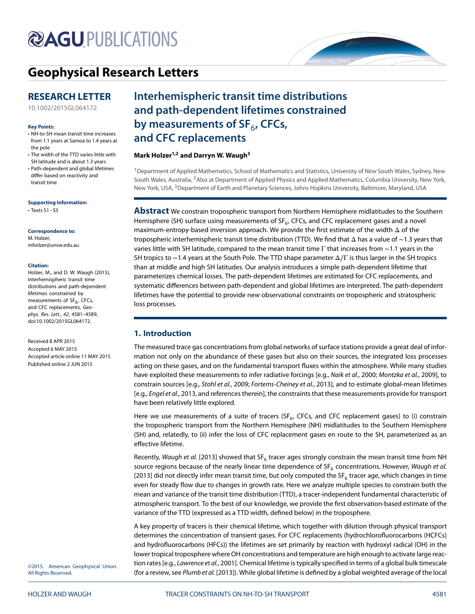# **@AGUPUBLICATIONS**

## **[Geophysical Research Letters](http://onlinelibrary.wiley.com/journal/10.1002/(ISSN)1944-8007)**

### **RESEARCH LETTER**

[10.1002/2015GL064172](http://dx.doi.org/10.1002/2015GL064172)

#### **Key Points:**

- NH-to-SH mean transit time increases from 1.1 years at Samoa to 1.4 years at the pole
- The width of the TTD varies little with SH latitude and is about 1.3 years
- Path-dependent and global lifetimes differ based on reactivity and transit time

#### **Supporting Information:**

• Texts S1–S3

#### **Correspondence to:** M. Holzer, mholzer@unsw.edu.au

#### **Citation:**

Holzer, M., and D. W. Waugh (2015), Interhemispheric transit time distributions and path-dependent lifetimes constrained by measurements of SF<sub>6</sub>, CFCs, and CFC replacements, Geophys. Res. Lett., 42, 4581–4589, doi:10.1002/2015GL064172.

Received 8 APR 2015 Accepted 6 MAY 2015 Accepted article online 11 MAY 2015 Published online 2 JUN 2015

## **Interhemispheric transit time distributions and path-dependent lifetimes constrained** by measurements of SF<sub>6</sub>, CFCs, **and CFC replacements**

#### **Mark Holzer1,2 and Darryn W. Waugh3**

1Department of Applied Mathematics, School of Mathematics and Statistics, University of New South Wales, Sydney, New South Wales, Australia, 2Also at Department of Applied Physics and Applied Mathematics, Columbia University, New York, New York, USA, <sup>3</sup>Department of Earth and Planetary Sciences, Johns Hopkins University, Baltimore, Maryland, USA

**Abstract** We constrain tropospheric transport from Northern Hemisphere midlatitudes to the Southern Hemisphere (SH) surface using measurements of  $SF<sub>6</sub>$ , CFCs, and CFC replacement gases and a novel maximum-entropy-based inversion approach. We provide the first estimate of the width Δ of the tropospheric interhemispheric transit time distribution (TTD). We find that Δ has a value of ∼1.3 years that varies little with SH latitude, compared to the mean transit time Γ that increases from ~1.1 years in the SH tropics to ∼1.4 years at the South Pole. The TTD shape parameter Δ∕Γ is thus larger in the SH tropics than at middle and high SH latitudes. Our analysis introduces a simple path-dependent lifetime that parameterizes chemical losses. The path-dependent lifetimes are estimated for CFC replacements, and systematic differences between path-dependent and global lifetimes are interpreted. The path-dependent lifetimes have the potential to provide new observational constraints on tropospheric and stratospheric loss processes.

### **1. Introduction**

The measured trace gas concentrations from global networks of surface stations provide a great deal of information not only on the abundance of these gases but also on their sources, the integrated loss processes acting on these gases, and on the fundamental transport fluxes within the atmosphere. While many studies have exploited these measurements to infer radiative forcings [e.g., Naik et al., [2000;](#page-7-0) Montzka et al., [2009\]](#page-7-1), to constrain sources [e.g., Stohl et al., [2009;](#page-8-0) Fortems-Cheiney et al., [2013\]](#page-7-2), and to estimate global-mean lifetimes [e.g., Engel et al., [2013,](#page-7-3) and references therein], the constraints that these measurements provide for transport have been relatively little explored.

Here we use measurements of a suite of tracers ( $SF<sub>6</sub>$ , CFCs, and CFC replacement gases) to (i) constrain the tropospheric transport from the Northern Hemisphere (NH) midlatitudes to the Southern Hemisphere (SH) and, relatedly, to (ii) infer the loss of CFC replacement gases en route to the SH, parameterized as an effective lifetime.

Recently, Waugh et al. [\[2013\]](#page-8-1) showed that SF<sub>6</sub> tracer ages strongly constrain the mean transit time from NH source regions because of the nearly linear time dependence of  $SF_6$  concentrations. However, Waugh et al. [\[2013\]](#page-8-1) did not directly infer mean transit time, but only computed the SF<sub>6</sub> tracer age, which changes in time even for steady flow due to changes in growth rate. Here we analyze multiple species to constrain both the mean and variance of the transit time distribution (TTD), a tracer-independent fundamental characteristic of atmospheric transport. To the best of our knowledge, we provide the first observation-based estimate of the variance of the TTD (expressed as a TTD width, defined below) in the troposphere.

A key property of tracers is their chemical lifetime, which together with dilution through physical transport determines the concentration of transient gases. For CFC replacements (hydrochlorofluorocarbons (HCFCs) and hydrofluorocarbons (HFCs)) the lifetimes are set primarily by reaction with hydroxyl radical (OH) in the lower tropical troposphere where OH concentrations and temperature are high enough to activate large reac-tion rates [e.g., Lawrence et al., [2001\]](#page-7-4). Chemical lifetime is typically specified in terms of a global bulk timescale (for a review, see Plumb et al. [\[2013\]](#page-8-2)). While global lifetime is defined by a global weighted average of the local

©2015. American Geophysical Union. All Rights Reserved.

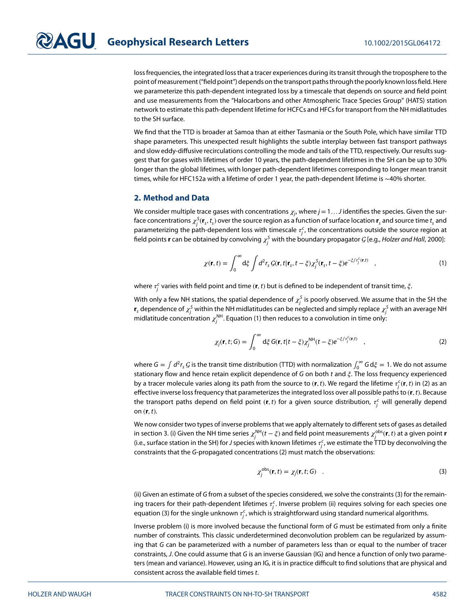loss frequencies, the integrated loss that a tracer experiences during its transit through the troposphere to the point of measurement ("field point") depends on the transport paths through the poorly known loss field. Here we parameterize this path-dependent integrated loss by a timescale that depends on source and field point and use measurements from the "Halocarbons and other Atmospheric Trace Species Group" (HATS) station network to estimate this path-dependent lifetime for HCFCs and HFCs for transport from the NH midlatitudes to the SH surface.

We find that the TTD is broader at Samoa than at either Tasmania or the South Pole, which have similar TTD shape parameters. This unexpected result highlights the subtle interplay between fast transport pathways and slow eddy-diffusive recirculations controlling the mode and tails of the TTD, respectively. Our results suggest that for gases with lifetimes of order 10 years, the path-dependent lifetimes in the SH can be up to 30% longer than the global lifetimes, with longer path-dependent lifetimes corresponding to longer mean transit times, while for HFC152a with a lifetime of order 1 year, the path-dependent lifetime is ∼40% shorter.

#### **2. Method and Data**

We consider multiple trace gases with concentrations  $\chi_{j}$ , where  $j$  = 1  $\dots$  J identifies the species. Given the surface concentrations  $\chi^S_j({\bf r}_s,t_s)$  over the source region as a function of surface location  ${\bf r}_s$  and source time  $t_s$  and parameterizing the path-dependent loss with timescale  $\tau_j^c$ , the concentrations outside the source region at field points **r** can be obtained by convolving  $\chi^\mathsf{S}_j$  with the boundary propagator  $\mathcal{G}$  [e.g., *Holzer and Hall*, [2000\]](#page-7-5):

<span id="page-1-0"></span>
$$
\chi(\mathbf{r},t) = \int_0^\infty d\xi \int d^2r_s \mathcal{G}(\mathbf{r},t|\mathbf{r}_s,t-\xi) \chi_j^S(\mathbf{r}_s,t-\xi) e^{-\xi/\tau_j^c(\mathbf{r},t)} \quad , \tag{1}
$$

where  $\tau^\epsilon_j$  varies with field point and time (**r**, *t*) but is defined to be independent of transit time,  $\xi$ .

With only a few NH stations, the spatial dependence of  $\chi^\mathcal{S}_j$  is poorly observed. We assume that in the SH the  $\bm{r}_s$  dependence of  $\chi_j^S$  within the NH midlatitudes can be neglected and simply replace  $\chi_j^S$  with an average NH midlatitude concentration  $\chi_j^\mathsf{NH}$ . Equation [\(1\)](#page-1-0) then reduces to a convolution in time only:

<span id="page-1-1"></span>
$$
\chi_j(\mathbf{r},t;G) = \int_0^\infty d\xi G(\mathbf{r},t|t-\xi)\chi_j^{\text{NH}}(t-\xi)e^{-\xi/\tau_j^c(\mathbf{r},t)} \quad , \tag{2}
$$

where  $G = \int d^2r_s G$  is the transit time distribution (TTD) with normalization  $\int_0^\infty G d\xi = 1$ . We do not assume stationary flow and hence retain explicit dependence of G on both  $t$  and  $\xi$ . The loss frequency experienced by a tracer molecule varies along its path from the source to  $(r, t)$ . We regard the lifetime  $\tau_j^c(r, t)$  in [\(2\)](#page-1-1) as an effective inverse loss frequency that parameterizes the integrated loss over all possible paths to (**r***,* t). Because the transport paths depend on field point  $(r, t)$  for a given source distribution,  $\tau_j^c$  will generally depend on (**r***,* t).

We now consider two types of inverse problems that we apply alternately to different sets of gases as detailed in section 3. (i) Given the NH time series  $\chi_j^\mathsf{NH}(t-\xi)$  and field point measurements  $\chi_j^\mathsf{obs}(\mathbf{r},t)$  at a given point **r** (i.e., surface station in the SH) for J species with known lifetimes  $\tau^c_j$ , we estimate the TTD by deconvolving the constraints that the G-propagated concentrations [\(2\)](#page-1-1) must match the observations:

<span id="page-1-2"></span>
$$
\chi_j^{\text{obs}}(\mathbf{r},t) = \chi_j(\mathbf{r},t;G) \quad . \tag{3}
$$

(ii) Given an estimate of G from a subset of the species considered, we solve the constraints [\(3\)](#page-1-2) for the remaining tracers for their path-dependent lifetimes  $\tau_j^c$ . Inverse problem (ii) requires solving for each species one equation [\(3\)](#page-1-2) for the single unknown  $\tau^\mathsf{c}_j$ , which is straightforward using standard numerical algorithms.

Inverse problem (i) is more involved because the functional form of G must be estimated from only a finite number of constraints. This classic underdetermined deconvolution problem can be regularized by assuming that G can be parameterized with a number of parameters less than or equal to the number of tracer constraints, J. One could assume that G is an inverse Gaussian (IG) and hence a function of only two parameters (mean and variance). However, using an IG, it is in practice difficult to find solutions that are physical and consistent across the available field times t.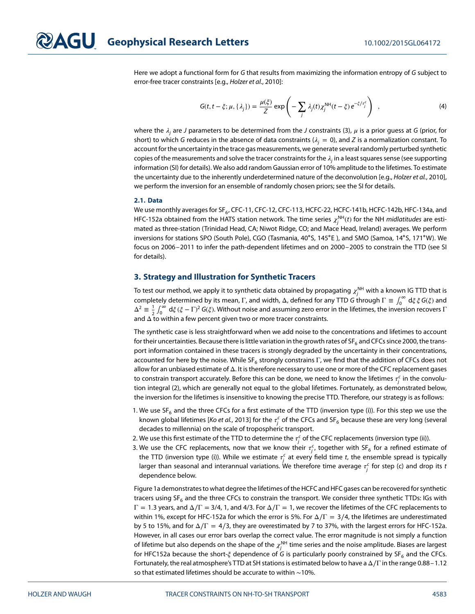Here we adopt a functional form for G that results from maximizing the information entropy of G subject to error-free tracer constraints [e.g., Holzer et al., [2010\]](#page-7-6):

$$
G(t, t - \xi; \mu, \{\lambda_j\}) = \frac{\mu(\xi)}{Z} \exp\left(-\sum_j \lambda_j(t)\chi_j^{\text{NH}}(t - \xi) e^{-\xi/\tau_j^c}\right) , \qquad (4)
$$

where the  $\lambda_i$  are J parameters to be determined from the J constraints [\(3\)](#page-1-2),  $\mu$  is a prior guess at G (prior, for short) to which G reduces in the absence of data constraints ( $\lambda_i = 0$ ), and Z is a normalization constant. To account for the uncertainty in the trace gas measurements, we generate several randomly perturbed synthetic copies of the measurements and solve the tracer constraints for the  $\lambda_i$  in a least squares sense (see supporting information (SI) for details). We also add random Gaussian error of 10% amplitude to the lifetimes. To estimate the uncertainty due to the inherently underdetermined nature of the deconvolution [e.g., Holzer et al., [2010\]](#page-7-6), we perform the inversion for an ensemble of randomly chosen priors; see the SI for details.

#### **2.1. Data**

We use monthly averages for SF $_6$ , CFC-11, CFC-12, CFC-113, HCFC-22, HCFC-141b, HCFC-142b, HFC-134a, and HFC-152a obtained from the HATS station network. The time series  $\chi_j^{\text{NH}}(t)$  for the NH *midlatitudes* are estimated as three-station (Trinidad Head, CA; Niwot Ridge, CO; and Mace Head, Ireland) averages. We perform inversions for stations SPO (South Pole), CGO (Tasmania, 40∘S, 145∘E ), and SMO (Samoa, 14∘S, 171∘W). We focus on 2006–2011 to infer the path-dependent lifetimes and on 2000–2005 to constrain the TTD (see SI for details).

#### **3. Strategy and Illustration for Synthetic Tracers**

To test our method, we apply it to synthetic data obtained by propagating  $\chi_j^{\sf NH}$  with a known IG TTD that is completely determined by its mean,  $\Gamma$ , and width,  $\Delta$ , defined for any TTD G through  $\Gamma\equiv\int_0^\infty\,d\xi\,\xi\,G(\xi)$  and  $\Delta^2 \equiv \frac{1}{2} \int_0^\infty d\xi (\xi - \Gamma)^2 G(\xi)$ . Without noise and assuming zero error in the lifetimes, the inversion recovers  $\Gamma$ and  $\Delta$  to within a few percent given two or more tracer constraints.

The synthetic case is less straightforward when we add noise to the concentrations and lifetimes to account for their uncertainties. Because there is little variation in the growth rates of SF<sub>6</sub> and CFCs since 2000, the transport information contained in these tracers is strongly degraded by the uncertainty in their concentrations, accounted for here by the noise. While SF<sub>6</sub> strongly constrains Γ, we find that the addition of CFCs does not allow for an unbiased estimate of Δ. It is therefore necessary to use one or more of the CFC replacement gases to constrain transport accurately. Before this can be done, we need to know the lifetimes  $\tau^\epsilon_j$  in the convolution integral [\(2\)](#page-1-1), which are generally not equal to the global lifetimes. Fortunately, as demonstrated below, the inversion for the lifetimes is insensitive to knowing the precise TTD. Therefore, our strategy is as follows:

- 1. We use  $SF_6$  and the three CFCs for a first estimate of the TTD (inversion type (i)). For this step we use the known global lifetimes [*Ko et al.*, [2013\]](#page-7-7) for the  $\tau^\epsilon_j$  of the CFCs and SF<sub>6</sub> because these are very long (several decades to millennia) on the scale of tropospheric transport.
- 2. We use this first estimate of the TTD to determine the  $\tau^\epsilon_j$  of the CFC replacements (inversion type (ii)).
- 3. We use the CFC replacements, now that we know their  $\tau_j^c$ , together with SF<sub>6</sub> for a refined estimate of the TTD (inversion type (i)). While we estimate  $\tau_j^c$  at every field time  $t$ , the ensemble spread is typically larger than seasonal and interannual variations. We therefore time average  $\tau_j^c$  for step (c) and drop its  $t$ dependence below.

Figure [1a](#page-3-0) demonstrates to what degree the lifetimes of the HCFC and HFC gases can be recovered for synthetic tracers using  $SF_6$  and the three CFCs to constrain the transport. We consider three synthetic TTDs: IGs with Γ = 1*.*3 years, and Δ∕Γ = 3/4, 1, and 4/3. For Δ∕Γ = 1, we recover the lifetimes of the CFC replacements to within 1%, except for HFC-152a for which the error is 5%. For  $\Delta/\Gamma = 3/4$ , the lifetimes are underestimated by 5 to 15%, and for  $\Delta/\Gamma = 4/3$ , they are overestimated by 7 to 37%, with the largest errors for HFC-152a. However, in all cases our error bars overlap the correct value. The error magnitude is not simply a function of lifetime but also depends on the shape of the  $\chi^{\mathsf{NH}}_j$  time series and the noise amplitude. Biases are largest for HFC152a because the short- $\xi$  dependence of G is particularly poorly constrained by SF<sub>6</sub> and the CFCs. Fortunately, the real atmosphere's TTD at SH stations is estimated below to have a Δ∕Γ in the range 0.88–1.12 so that estimated lifetimes should be accurate to within ∼10%.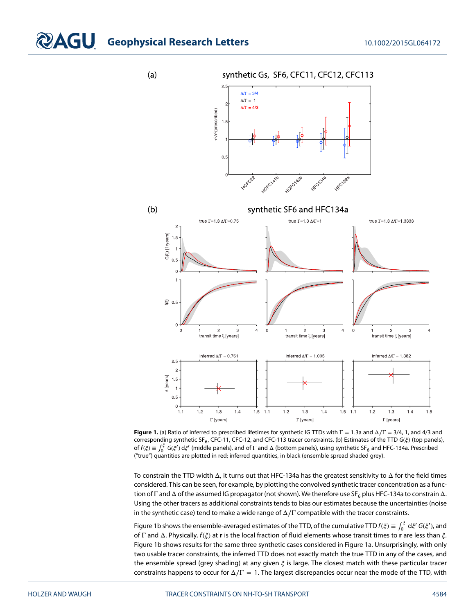## **COAGU** Geophysical Research Letters 10.1002/2015GL064172

 $(a)$ 

synthetic Gs, SF6, CFC11, CFC12, CFC113



<span id="page-3-0"></span>**Figure 1.** (a) Ratio of inferred to prescribed lifetimes for synthetic IG TTDs with Γ = 1*.*3a and Δ∕Γ = 3/4, 1, and 4/3 and corresponding synthetic SF<sub>6</sub>, CFC-11, CFC-12, and CFC-113 tracer constraints. (b) Estimates of the TTD  $G(\xi)$  (top panels), of  $f(\xi) \equiv \int_0^{\xi} G(\xi') d\xi'$  (middle panels), and of  $\Gamma$  and  $\Delta$  (bottom panels), using synthetic SF<sub>6</sub> and HFC-134a. Prescribed ("true") quantities are plotted in red; inferred quantities, in black (ensemble spread shaded grey).

To constrain the TTD width Δ, it turns out that HFC-134a has the greatest sensitivity to Δ for the field times considered. This can be seen, for example, by plotting the convolved synthetic tracer concentration as a function of Γ and  $\Delta$  of the assumed IG propagator (not shown). We therefore use SF<sub>6</sub> plus HFC-134a to constrain  $\Delta$ . Using the other tracers as additional constraints tends to bias our estimates because the uncertainties (noise in the synthetic case) tend to make a wide range of  $\Delta/\Gamma$  compatible with the tracer constraints.

Figure [1b](#page-3-0) shows the ensemble-averaged estimates of the TTD, of the cumulative TTD  $f(\xi) \equiv \int_0^\xi d\xi' G(\xi'),$  and of Γ and Δ. Physically,  $f(\xi)$  at **r** is the local fraction of fluid elements whose transit times to **r** are less than  $\xi$ . Figure [1b](#page-3-0) shows results for the same three synthetic cases considered in Figure [1a](#page-3-0). Unsurprisingly, with only two usable tracer constraints, the inferred TTD does not exactly match the true TTD in any of the cases, and the ensemble spread (grey shading) at any given  $\xi$  is large. The closest match with these particular tracer constraints happens to occur for  $\Delta/\Gamma = 1$ . The largest discrepancies occur near the mode of the TTD, with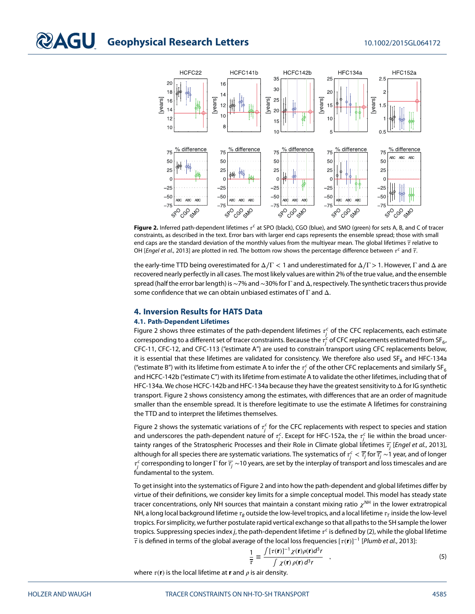

<span id="page-4-0"></span>**Figure 2.** Inferred path-dependent lifetimes  $\tau^c$  at SPO (black), CGO (blue), and SMO (green) for sets A, B, and C of tracer constraints, as described in the text. Error bars with larger end caps represents the ensemble spread; those with small end caps are the standard deviation of the monthly values from the multiyear mean. The global lifetimes  $\bar{\tau}$  relative to OH [Engel et al., [2013\]](#page-7-3) are plotted in red. The bottom row shows the percentage difference between  $\tau^c$  and  $\bar{\tau}$ .

the early-time TTD being overestimated for Δ∕Γ *<* 1 and underestimated for Δ∕Γ*>*1. However, Γ and Δ are recovered nearly perfectly in all cases. The most likely values are within 2% of the true value, and the ensemble spread (half the error bar length) is∼7% and∼30% for Γ and Δ, respectively. The synthetic tracers thus provide some confidence that we can obtain unbiased estimates of  $\Gamma$  and  $\Delta$ .

#### **4. Inversion Results for HATS Data**

#### **4.1. Path-Dependent Lifetimes**

Figure [2](#page-4-0) shows three estimates of the path-dependent lifetimes  $\tau_j^c$  of the CFC replacements, each estimate corresponding to a different set of tracer constraints. Because the  $\tau_j^c$  of CFC replacements estimated from SF $_6$ , CFC-11, CFC-12, and CFC-113 ("estimate A") are used to constrain transport using CFC replacements below, it is essential that these lifetimes are validated for consistency. We therefore also used SF<sub>6</sub> and HFC-134a ("estimate B") with its lifetime from estimate A to infer the  $\tau_j^c$  of the other CFC replacements and similarly SF $_6$ and HCFC-142b ("estimate C") with its lifetime from estimate A to validate the other lifetimes, including that of HFC-134a. We chose HCFC-142b and HFC-134a because they have the greatest sensitivity to Δ for IG synthetic transport. Figure [2](#page-4-0) shows consistency among the estimates, with differences that are an order of magnitude smaller than the ensemble spread. It is therefore legitimate to use the estimate A lifetimes for constraining the TTD and to interpret the lifetimes themselves.

Figure [2](#page-4-0) shows the systematic variations of  $\tau_j^c$  for the CFC replacements with respect to species and station and underscores the path-dependent nature of  $\tau_j^c$ . Except for HFC-152a, the  $\tau_j^c$  lie within the broad uncertainty ranges of the Stratospheric Processes and their Role in Climate global lifetimes  $\overline{t}_i$  [Engel et al., [2013\]](#page-7-3), although for all species there are systematic variations. The systematics of  $\tau_j^c<\overline{\tau_j}$  for  $\overline{\tau_j}\sim$  1 year, and of longer  $\tau^\epsilon_j$  corresponding to longer  $\Gamma$  for  $\overline{\tau_j}$  ~10 years, are set by the interplay of transport and loss timescales and are fundamental to the system.

To get insight into the systematics of Figure [2](#page-4-0) and into how the path-dependent and global lifetimes differ by virtue of their definitions, we consider key limits for a simple conceptual model. This model has steady state tracer concentrations, only NH sources that maintain a constant mixing ratio  $\chi^{\text{NH}}$  in the lower extratropical NH, a long local background lifetime  $\tau_R$  outside the low-level tropics, and a local lifetime  $\tau_T$  inside the low-level tropics. For simplicity, we further postulate rapid vertical exchange so that all paths to the SH sample the lower tropics. Suppressing species index j, the path-dependent lifetime  $\tau^c$  is defined by [\(2\)](#page-1-1), while the global lifetime is defined in terms of the global average of the local loss frequencies [(**r**)]<sup>−</sup><sup>1</sup> [Plumb et al., [2013\]](#page-8-2):

<span id="page-4-1"></span>
$$
\frac{1}{\tau} \equiv \frac{\int \left[\tau(\mathbf{r})\right]^{-1} \chi(\mathbf{r}) \rho(\mathbf{r}) d^3 r}{\int \chi(\mathbf{r}) \rho(\mathbf{r}) d^3 r} , \qquad (5)
$$

where  $\tau(\mathbf{r})$  is the local lifetime at **r** and  $\rho$  is air density.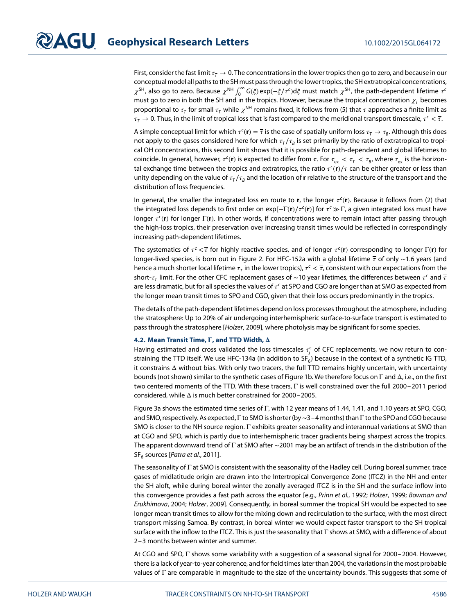First, consider the fast limit  $\tau<sub>T</sub> \to 0$ . The concentrations in the lower tropics then go to zero, and because in our conceptual model all paths to the SH must pass through the lower tropics, the SH extratropical concentrations,  $\chi^{\rm SH}$ , also go to zero. Because  $\chi^{\rm NH}$   $\int_0^\infty G(\xi) \exp(-\xi/\tau^c) d\xi$  must match  $\chi^{\rm SH}$ , the path-dependent lifetime  $\tau^c$ must go to zero in both the SH and in the tropics. However, because the tropical concentration  $\chi_T$  becomes proportional to  $\tau$ <sub>T</sub> for small  $\tau$ <sub>T</sub> while  $\chi$ <sup>NH</sup> remains fixed, it follows from [\(5\)](#page-4-1) that  $\bar{\tau}$  approaches a finite limit as  $\tau_T \to 0$ . Thus, in the limit of tropical loss that is fast compared to the meridional transport timescale,  $\tau^c < \overline{\tau}$ .

A simple conceptual limit for which  $\tau^c(\mathbf{r}) = \overline{\tau}$  is the case of spatially uniform loss  $\tau_T \to \tau_B$ . Although this does not apply to the gases considered here for which  $\tau_T/\tau_B$  is set primarily by the ratio of extratropical to tropical OH concentrations, this second limit shows that it is possible for path-dependent and global lifetimes to coincide. In general, however,  $\tau^c(\mathbf{r})$  is expected to differ from  $\overline{\tau}$ . For  $\tau_{ex} < \tau_f < \tau_B$ , where  $\tau_{ex}$  is the horizontal exchange time between the tropics and extratropics, the ratio  $\tau^c(\mathbf{r})/\tau$  can be either greater or less than unity depending on the value of  $\tau_T/\tau_B$  and the location of **r** relative to the structure of the transport and the distribution of loss frequencies.

In general, the smaller the integrated loss en route to **r**, the longer  $\tau^c(\mathbf{r})$ . Because it follows from [\(2\)](#page-1-1) that the integrated loss depends to first order on exp[-Γ(**r**)/ $\tau$ <sup>c</sup>(**r**)] for  $\tau$ <sup>c</sup> ≫ Γ, a given integrated loss must have longer τ<sup>c</sup>(**r**) for longer Γ(**r**). In other words, if concentrations were to remain intact after passing through the high-loss tropics, their preservation over increasing transit times would be reflected in correspondingly increasing path-dependent lifetimes.

The systematics of  $\tau^c < \tau$  for highly reactive species, and of longer  $\tau^c(\bf{r})$  corresponding to longer Γ(**r**) for longer-lived species, is born out in Figure [2.](#page-4-0) For HFC-152a with a global lifetime  $\bar{\tau}$  of only ∼1.6 years (and hence a much shorter local lifetime  $\tau_T$  in the lower tropics),  $\tau^c < \overline{\tau}$ , consistent with our expectations from the short- $\tau$ <sub>T</sub> limit. For the other CFC replacement gases of ~10 year lifetimes, the differences between  $\tau^c$  and  $\bar{\tau}$ are less dramatic, but for all species the values of  $\tau^c$  at SPO and CGO are longer than at SMO as expected from the longer mean transit times to SPO and CGO, given that their loss occurs predominantly in the tropics.

The details of the path-dependent lifetimes depend on loss processes throughout the atmosphere, including the stratosphere: Up to 20% of air undergoing interhemispheric surface-to-surface transport is estimated to pass through the stratosphere [Holzer, [2009\]](#page-7-8), where photolysis may be significant for some species.

#### **4.2. Mean Transit Time,**  $\Gamma$ **, and TTD Width,**  $\Delta$

Having estimated and cross validated the loss timescales  $\tau_j^c$  of CFC replacements, we now return to constraining the TTD itself. We use HFC-134a (in addition to  $SF_6$ ) because in the context of a synthetic IG TTD, it constrains Δ without bias. With only two tracers, the full TTD remains highly uncertain, with uncertainty bounds (not shown) similar to the synthetic cases of Figure [1b](#page-3-0). We therefore focus on Γ and Δ, i.e., on the first two centered moments of the TTD. With these tracers, Γ is well constrained over the full 2000–2011 period considered, while Δ is much better constrained for 2000–2005.

Figure [3a](#page-6-0) shows the estimated time series of Γ, with 12 year means of 1.44, 1.41, and 1.10 years at SPO, CGO, and SMO, respectively. As expected, Γ to SMO is shorter (by∼3–4 months) than Γ to the SPO and CGO because SMO is closer to the NH source region. Γ exhibits greater seasonality and interannual variations at SMO than at CGO and SPO, which is partly due to interhemispheric tracer gradients being sharpest across the tropics. The apparent downward trend of Γ at SMO after ∼2001 may be an artifact of trends in the distribution of the  $SF<sub>6</sub>$  sources [*Patra et al.*, [2011\]](#page-7-9).

The seasonality of Γ at SMO is consistent with the seasonality of the Hadley cell. During boreal summer, trace gases of midlatitude origin are drawn into the Intertropical Convergence Zone (ITCZ) in the NH and enter the SH aloft, while during boreal winter the zonally averaged ITCZ is in the SH and the surface inflow into this convergence provides a fast path across the equator [e.g., Prinn et al., [1992;](#page-8-3) Holzer, [1999;](#page-7-10) Bowman and Erukhimova, [2004;](#page-7-11) Holzer, [2009\]](#page-7-8). Consequently, in boreal summer the tropical SH would be expected to see longer mean transit times to allow for the mixing down and recirculation to the surface, with the most direct transport missing Samoa. By contrast, in boreal winter we would expect faster transport to the SH tropical surface with the inflow to the ITCZ. This is just the seasonality that Γ shows at SMO, with a difference of about 2–3 months between winter and summer.

At CGO and SPO, Γ shows some variability with a suggestion of a seasonal signal for 2000–2004. However, there is a lack of year-to-year coherence, and for field times later than 2004, the variations in the most probable values of  $\Gamma$  are comparable in magnitude to the size of the uncertainty bounds. This suggests that some of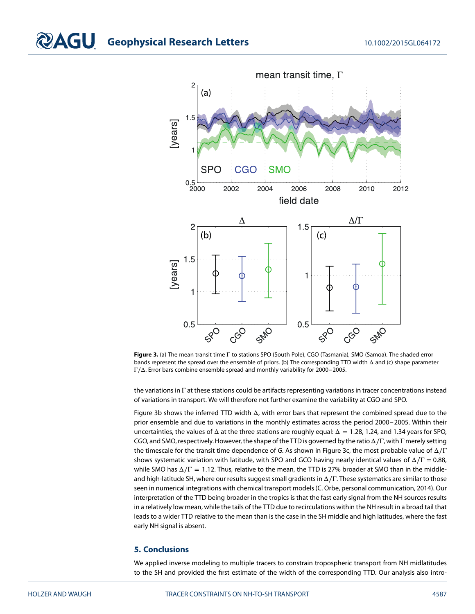

<span id="page-6-0"></span>**Figure 3.** (a) The mean transit time Γ to stations SPO (South Pole), CGO (Tasmania), SMO (Samoa). The shaded error bands represent the spread over the ensemble of priors. (b) The corresponding TTD width Δ and (c) shape parameter Γ∕Δ. Error bars combine ensemble spread and monthly variability for 2000–2005.

the variations in Γ at these stations could be artifacts representing variations in tracer concentrations instead of variations in transport. We will therefore not further examine the variability at CGO and SPO.

Figure [3b](#page-6-0) shows the inferred TTD width  $\Delta$ , with error bars that represent the combined spread due to the prior ensemble and due to variations in the monthly estimates across the period 2000–2005. Within their uncertainties, the values of Δ at the three stations are roughly equal: Δ = 1*.*28, 1.24, and 1.34 years for SPO, CGO, and SMO, respectively. However, the shape of the TTD is governed by the ratio Δ∕Γ, with Γ merely setting the timescale for the transit time dependence of G. As shown in Figure [3c](#page-6-0), the most probable value of  $\Delta/\Gamma$ shows systematic variation with latitude, with SPO and GCO having nearly identical values of  $\Delta/\Gamma = 0.88$ , while SMO has Δ∕Γ = 1*.*12. Thus, relative to the mean, the TTD is 27% broader at SMO than in the middleand high-latitude SH, where our results suggest small gradients in Δ∕Γ. These systematics are similar to those seen in numerical integrations with chemical transport models (C. Orbe, personal communication, 2014). Our interpretation of the TTD being broader in the tropics is that the fast early signal from the NH sources results in a relatively low mean, while the tails of the TTD due to recirculations within the NH result in a broad tail that leads to a wider TTD relative to the mean than is the case in the SH middle and high latitudes, where the fast early NH signal is absent.

### **5. Conclusions**

We applied inverse modeling to multiple tracers to constrain tropospheric transport from NH midlatitudes to the SH and provided the first estimate of the width of the corresponding TTD. Our analysis also intro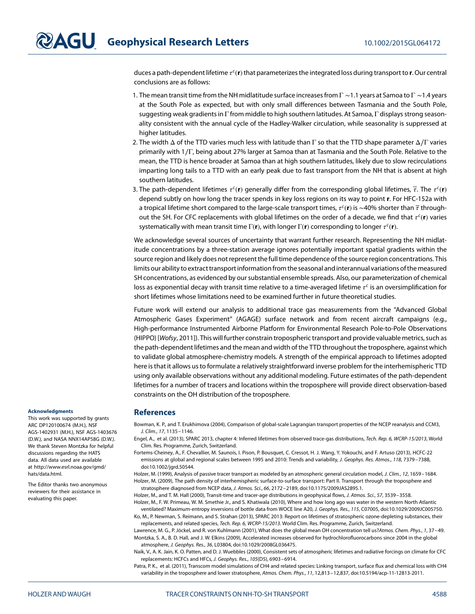duces a path-dependent lifetime  $\tau^c(\mathbf{r})$  that parameterizes the integrated loss during transport to **r**. Our central conclusions are as follows:

- 1. The mean transit time from the NH midlatitude surface increases from  $\Gamma$  ~1.1 years at Samoa to  $\Gamma$  ~1.4 years at the South Pole as expected, but with only small differences between Tasmania and the South Pole, suggesting weak gradients in Γ from middle to high southern latitudes. At Samoa, Γ displays strong seasonality consistent with the annual cycle of the Hadley-Walker circulation, while seasonality is suppressed at higher latitudes.
- 2. The width  $\Delta$  of the TTD varies much less with latitude than Γ so that the TTD shape parameter  $\Delta/\Gamma$  varies primarily with 1∕Γ, being about 27% larger at Samoa than at Tasmania and the South Pole. Relative to the mean, the TTD is hence broader at Samoa than at high southern latitudes, likely due to slow recirculations imparting long tails to a TTD with an early peak due to fast transport from the NH that is absent at high southern latitudes.
- 3. The path-dependent lifetimes  $\tau^c(\bf{r})$  generally differ from the corresponding global lifetimes,  $\bar{\tau}$ . The  $\tau^c(\bf{r})$ depend subtly on how long the tracer spends in key loss regions on its way to point **r**. For HFC-152a with a tropical lifetime short compared to the large-scale transport times,  $\tau^c$ (**r**) is ∼40% shorter than  $\bar{\tau}$  throughout the SH. For CFC replacements with global lifetimes on the order of a decade, we find that  $\tau^c(\mathbf{r})$  varies systematically with mean transit time Γ(**r**), with longer Γ(**r**) corresponding to longer <sup>c</sup>(**r**).

We acknowledge several sources of uncertainty that warrant further research. Representing the NH midlatitude concentrations by a three-station average ignores potentially important spatial gradients within the source region and likely does not represent the full time dependence of the source region concentrations. This limits our ability to extract transport information from the seasonal and interannual variations of the measured SH concentrations, as evidenced by our substantial ensemble spreads. Also, our parameterization of chemical loss as exponential decay with transit time relative to a time-averaged lifetime  $\tau^c$  is an oversimplification for short lifetimes whose limitations need to be examined further in future theoretical studies.

Future work will extend our analysis to additional trace gas measurements from the "Advanced Global Atmospheric Gases Experiment" (AGAGE) surface network and from recent aircraft campaigns (e.g., High-performance Instrumented Airborne Platform for Environmental Research Pole-to-Pole Observations (HIPPO) [Wofsy, [2011\]](#page-8-4)). This will further constrain tropospheric transport and provide valuable metrics, such as the path-dependent lifetimes and the mean and width of the TTD throughout the troposphere, against which to validate global atmosphere-chemistry models. A strength of the empirical approach to lifetimes adopted here is that it allows us to formulate a relatively straightforward inverse problem for the interhemispheric TTD using only available observations without any additional modeling. Future estimates of the path-dependent lifetimes for a number of tracers and locations within the troposphere will provide direct observation-based constraints on the OH distribution of the troposphere.

#### **References**

- <span id="page-7-11"></span>Bowman, K. P., and T. Erukhimova (2004), Comparison of global-scale Lagrangian transport properties of the NCEP reanalysis and CCM3, J. Clim., 17, 1135–1146.
- <span id="page-7-3"></span>Engel, A., et al. (2013), SPARC 2013, chapter 4: Inferred lifetimes from observed trace-gas distributions, Tech. Rep. 6, WCRP-15/2013, World Clim. Res. Programme, Zurich, Switzerland.
- <span id="page-7-2"></span>Fortems-Cheiney, A., F. Chevallier, M. Saunois, I. Pison, P. Bousquet, C. Cressot, H. J. Wang, Y. Yokouchi, and F. Artuso (2013), HCFC-22 emissions at global and regional scales between 1995 and 2010: Trends and variability, J. Geophys. Res. Atmos., 118, 7379-7388, doi[:10.1002/jgrd.50544.](http://dx.doi.org/10.1002/jgrd.50544)
- <span id="page-7-10"></span><span id="page-7-8"></span>Holzer, M. (1999), Analysis of passive tracer transport as modeled by an atmospheric general circulation model, J. Clim., 12, 1659–1684. Holzer, M. (2009), The path density of interhemispheric surface-to-surface transport: Part II. Transport through the troposphere and stratosphere diagnosed from NCEP data, J. Atmos. Sci., 66, 2172–2189, doi[:10.1175/2009JAS2895.1.](http://dx.doi.org/10.1175/2009JAS2895.1)

<span id="page-7-6"></span><span id="page-7-5"></span>Holzer, M., and T. M. Hall (2000), Transit-time and tracer-age distributions in geophysical flows, J. Atmos. Sci., 57, 3539–3558.

<span id="page-7-7"></span>Holzer, M., F. W. Primeau, W. M. Smethie Jr., and S. Khatiwala (2010), Where and how long ago was water in the western North Atlantic ventilated? Maximum-entropy inversions of bottle data from WOCE line A20, J. Geophys. Res., 115, C07005, doi[:10.1029/2009JC005750.](http://dx.doi.org/10.1029/2009JC005750) Ko, M., P. Newman, S. Reimann, and S. Strahan (2013), SPARC 2013: Report on lifetimes of stratospheric ozone-depleting substances, their

<span id="page-7-4"></span><span id="page-7-1"></span>replacements, and related species, Tech. Rep. 6, WCRP-15/2013. World Clim. Res. Programme, Zurich, Switzerland. Lawrence, M. G., P. Jöckel, and R. von Kuhlmann (2001), What does the global mean OH concentration tell us?Atmos. Chem. Phys., 1, 37–49. Montzka, S. A., B. D. Hall, and J. W. Elkins (2009), Accelerated increases observed for hydrochlorofluorocarbons since 2004 in the global atmosphere, J. Geophys. Res., 36, L03804, doi[:10.1029/2008GL036475.](http://dx.doi.org/10.1029/2008GL036475)

<span id="page-7-0"></span>Naik, V., A. K. Jain, K. O. Patten, and D. J. Wuebbles (2000), Consistent sets of atmospheric lifetimes and radiative forcings on climate for CFC replacements: HCFCs and HFCs, J. Geophys. Res., 105(D5), 6903–6914.

<span id="page-7-9"></span>Patra, P. K., et al. (2011), Transcom model simulations of CH4 and related species: Linking transport, surface flux and chemical loss with CH4 variability in the troposphere and lower stratosphere, Atmos. Chem. Phys., 11, 12,813–12,837, doi[:10.5194/acp-11-12813-2011.](http://dx.doi.org/10.5194/acp-11-12813-2011)

#### **Acknowledgments**

This work was supported by grants ARC DP120100674 (M.H.), NSF AGS-1402931 (M.H.), NSF AGS-1403676 (D.W.), and NASA NNX14AP58G (D.W.). We thank Steven Montzka for helpful discussions regarding the HATS data. All data used are available at [http://www.esrl.noaa.gov/gmd/](http://www.esrl.noaa.gov/gmd/hats/data.html) [hats/data.html.](http://www.esrl.noaa.gov/gmd/hats/data.html)

The Editor thanks two anonymous reviewers for their assistance in evaluating this paper.